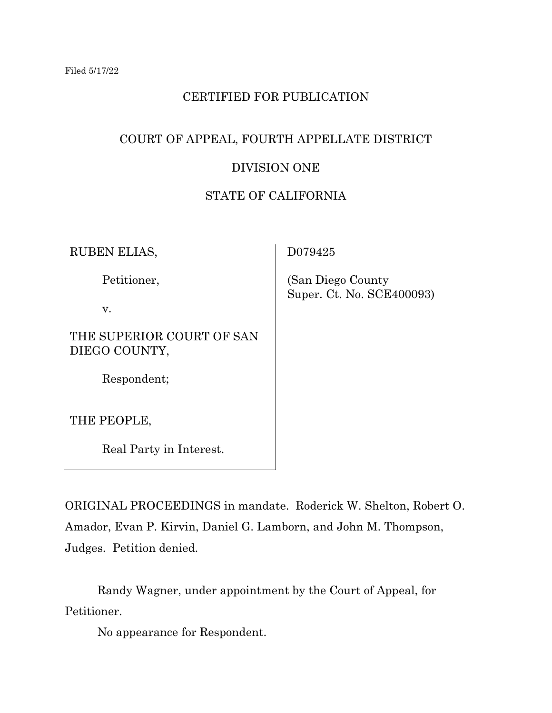# CERTIFIED FOR PUBLICATION

# COURT OF APPEAL, FOURTH APPELLATE DISTRICT

# DIVISION ONE

# STATE OF CALIFORNIA

RUBEN ELIAS,

Petitioner,

v.

THE SUPERIOR COURT OF SAN DIEGO COUNTY,

Respondent;

THE PEOPLE,

Real Party in Interest.

D079425

 (San Diego County Super. Ct. No. SCE400093)

ORIGINAL PROCEEDINGS in mandate. Roderick W. Shelton, Robert O. Amador, Evan P. Kirvin, Daniel G. Lamborn, and John M. Thompson, Judges. Petition denied.

Randy Wagner, under appointment by the Court of Appeal, for Petitioner.

No appearance for Respondent.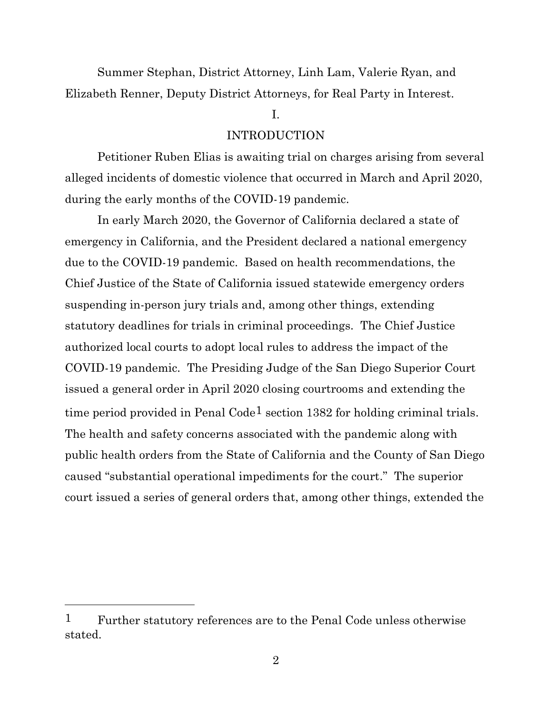Summer Stephan, District Attorney, Linh Lam, Valerie Ryan, and Elizabeth Renner, Deputy District Attorneys, for Real Party in Interest.

# I.

# INTRODUCTION

Petitioner Ruben Elias is awaiting trial on charges arising from several alleged incidents of domestic violence that occurred in March and April 2020, during the early months of the COVID-19 pandemic.

In early March 2020, the Governor of California declared a state of emergency in California, and the President declared a national emergency due to the COVID-19 pandemic. Based on health recommendations, the Chief Justice of the State of California issued statewide emergency orders suspending in-person jury trials and, among other things, extending statutory deadlines for trials in criminal proceedings. The Chief Justice authorized local courts to adopt local rules to address the impact of the COVID-19 pandemic. The Presiding Judge of the San Diego Superior Court issued a general order in April 2020 closing courtrooms and extending the time period provided in Penal Code<sup>1</sup> section 1382 for holding criminal trials. The health and safety concerns associated with the pandemic along with public health orders from the State of California and the County of San Diego caused "substantial operational impediments for the court." The superior court issued a series of general orders that, among other things, extended the

<sup>1</sup> Further statutory references are to the Penal Code unless otherwise stated.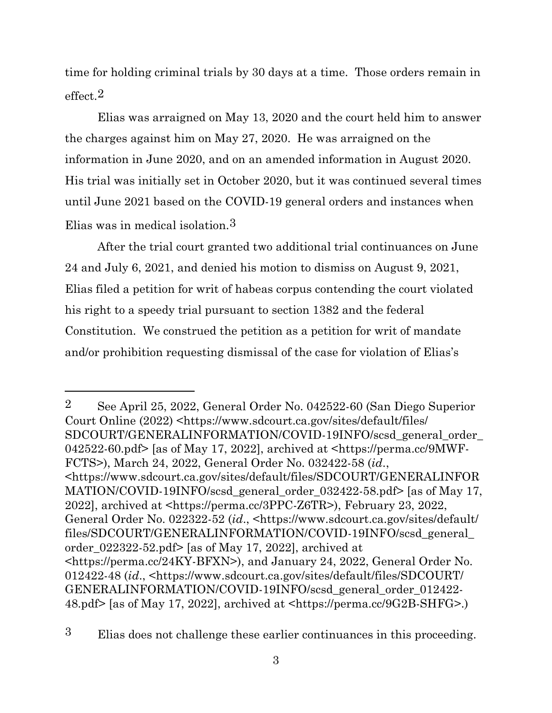time for holding criminal trials by 30 days at a time. Those orders remain in effect.2

Elias was arraigned on May 13, 2020 and the court held him to answer the charges against him on May 27, 2020. He was arraigned on the information in June 2020, and on an amended information in August 2020. His trial was initially set in October 2020, but it was continued several times until June 2021 based on the COVID-19 general orders and instances when Elias was in medical isolation.3

After the trial court granted two additional trial continuances on June 24 and July 6, 2021, and denied his motion to dismiss on August 9, 2021, Elias filed a petition for writ of habeas corpus contending the court violated his right to a speedy trial pursuant to section 1382 and the federal Constitution. We construed the petition as a petition for writ of mandate and/or prohibition requesting dismissal of the case for violation of Elias's

2 See April 25, 2022, General Order No. 042522-60 (San Diego Superior Court Online (2022) <https://www.sdcourt.ca.gov/sites/default/files/ SDCOURT/GENERALINFORMATION/COVID-19INFO/scsd\_general\_order\_ 042522-60.pdf> [as of May 17, 2022], archived at <https://perma.cc/9MWF-FCTS>), March 24, 2022, General Order No. 032422-58 (*id*., <https://www.sdcourt.ca.gov/sites/default/files/SDCOURT/GENERALINFOR MATION/COVID-19INFO/scsd general order 032422-58.pdf> [as of May 17, 2022], archived at <https://perma.cc/3PPC-Z6TR>), February 23, 2022, General Order No. 022322-52 (*id*., <https://www.sdcourt.ca.gov/sites/default/ files/SDCOURT/GENERALINFORMATION/COVID-19INFO/scsd\_general\_ order  $022322-52$ .pdf> [as of May 17, 2022], archived at <https://perma.cc/24KY-BFXN>), and January 24, 2022, General Order No. 012422-48 (*id*., <https://www.sdcourt.ca.gov/sites/default/files/SDCOURT/ GENERALINFORMATION/COVID-19INFO/scsd\_general\_order\_012422- 48.pdf> [as of May 17, 2022], archived at <https://perma.cc/9G2B-SHFG>.)

3 Elias does not challenge these earlier continuances in this proceeding.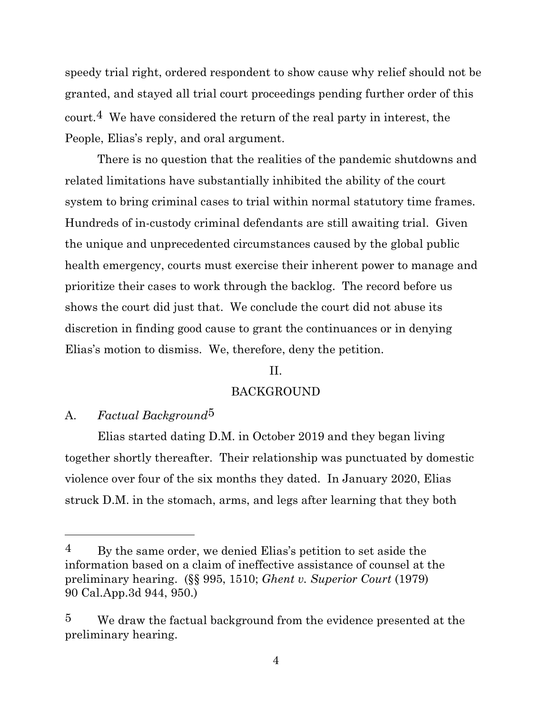speedy trial right, ordered respondent to show cause why relief should not be granted, and stayed all trial court proceedings pending further order of this court.4 We have considered the return of the real party in interest, the People, Elias's reply, and oral argument.

There is no question that the realities of the pandemic shutdowns and related limitations have substantially inhibited the ability of the court system to bring criminal cases to trial within normal statutory time frames. Hundreds of in-custody criminal defendants are still awaiting trial. Given the unique and unprecedented circumstances caused by the global public health emergency, courts must exercise their inherent power to manage and prioritize their cases to work through the backlog. The record before us shows the court did just that. We conclude the court did not abuse its discretion in finding good cause to grant the continuances or in denying Elias's motion to dismiss. We, therefore, deny the petition.

# II.

# BACKGROUND

## A. *Factual Background*5

Elias started dating D.M. in October 2019 and they began living together shortly thereafter. Their relationship was punctuated by domestic violence over four of the six months they dated. In January 2020, Elias struck D.M. in the stomach, arms, and legs after learning that they both

 $4$  By the same order, we denied Elias's petition to set aside the information based on a claim of ineffective assistance of counsel at the preliminary hearing. (§§ 995, 1510; *Ghent v. Superior Court* (1979) 90 Cal.App.3d 944, 950.)

<sup>5</sup> We draw the factual background from the evidence presented at the preliminary hearing.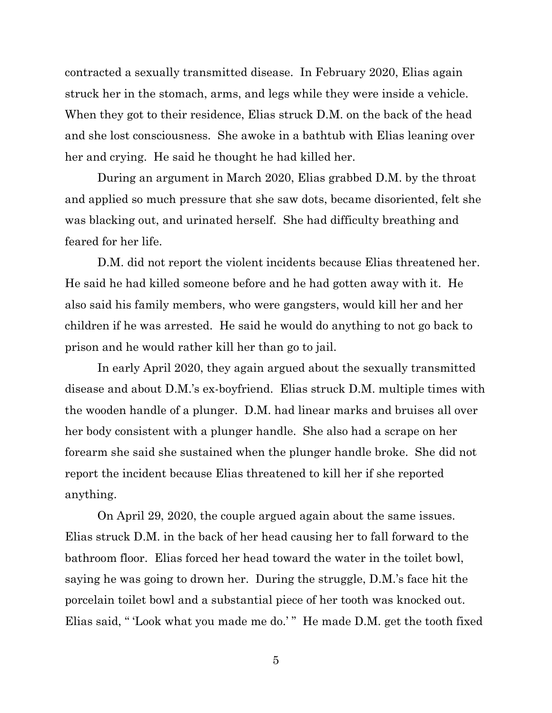contracted a sexually transmitted disease. In February 2020, Elias again struck her in the stomach, arms, and legs while they were inside a vehicle. When they got to their residence, Elias struck D.M. on the back of the head and she lost consciousness. She awoke in a bathtub with Elias leaning over her and crying. He said he thought he had killed her.

During an argument in March 2020, Elias grabbed D.M. by the throat and applied so much pressure that she saw dots, became disoriented, felt she was blacking out, and urinated herself. She had difficulty breathing and feared for her life.

D.M. did not report the violent incidents because Elias threatened her. He said he had killed someone before and he had gotten away with it. He also said his family members, who were gangsters, would kill her and her children if he was arrested. He said he would do anything to not go back to prison and he would rather kill her than go to jail.

In early April 2020, they again argued about the sexually transmitted disease and about D.M.'s ex-boyfriend. Elias struck D.M. multiple times with the wooden handle of a plunger. D.M. had linear marks and bruises all over her body consistent with a plunger handle. She also had a scrape on her forearm she said she sustained when the plunger handle broke. She did not report the incident because Elias threatened to kill her if she reported anything.

On April 29, 2020, the couple argued again about the same issues. Elias struck D.M. in the back of her head causing her to fall forward to the bathroom floor. Elias forced her head toward the water in the toilet bowl, saying he was going to drown her. During the struggle, D.M.'s face hit the porcelain toilet bowl and a substantial piece of her tooth was knocked out. Elias said, " 'Look what you made me do.' " He made D.M. get the tooth fixed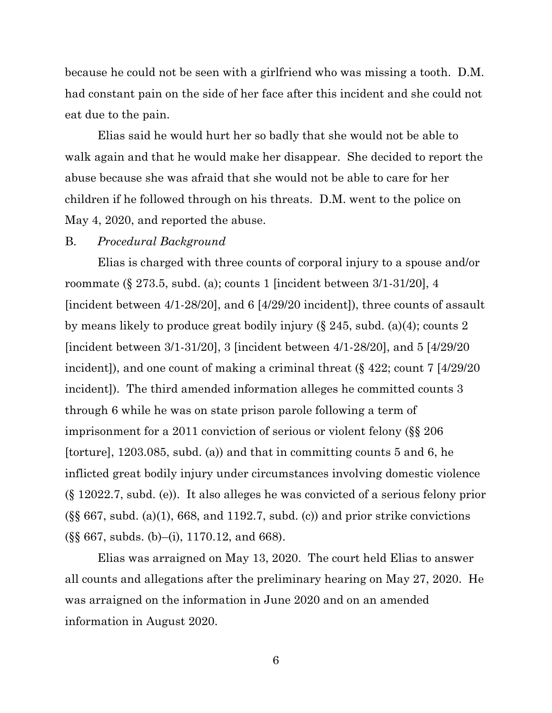because he could not be seen with a girlfriend who was missing a tooth. D.M. had constant pain on the side of her face after this incident and she could not eat due to the pain.

Elias said he would hurt her so badly that she would not be able to walk again and that he would make her disappear. She decided to report the abuse because she was afraid that she would not be able to care for her children if he followed through on his threats. D.M. went to the police on May 4, 2020, and reported the abuse.

#### B. *Procedural Background*

Elias is charged with three counts of corporal injury to a spouse and/or roommate (§ 273.5, subd. (a); counts 1 [incident between 3/1-31/20], 4 [incident between 4/1-28/20], and 6 [4/29/20 incident]), three counts of assault by means likely to produce great bodily injury (§ 245, subd. (a)(4); counts 2 [incident between 3/1-31/20], 3 [incident between 4/1-28/20], and 5 [4/29/20 incident]), and one count of making a criminal threat (§ 422; count 7 [4/29/20 incident]). The third amended information alleges he committed counts 3 through 6 while he was on state prison parole following a term of imprisonment for a 2011 conviction of serious or violent felony (§§ 206 [torture], 1203.085, subd. (a)) and that in committing counts 5 and 6, he inflicted great bodily injury under circumstances involving domestic violence (§ 12022.7, subd. (e)). It also alleges he was convicted of a serious felony prior  $(\S\$  667, subd. (a)(1), 668, and 1192.7, subd. (c)) and prior strike convictions (§§ 667, subds. (b)–(i), 1170.12, and 668).

Elias was arraigned on May 13, 2020. The court held Elias to answer all counts and allegations after the preliminary hearing on May 27, 2020. He was arraigned on the information in June 2020 and on an amended information in August 2020.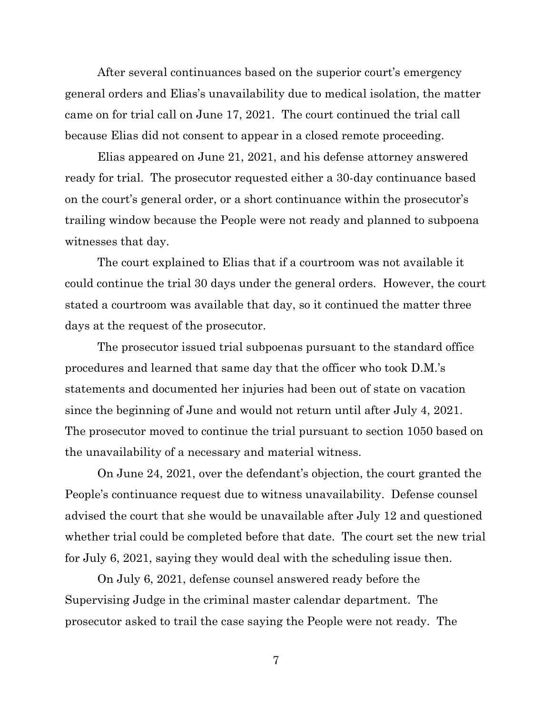After several continuances based on the superior court's emergency general orders and Elias's unavailability due to medical isolation, the matter came on for trial call on June 17, 2021. The court continued the trial call because Elias did not consent to appear in a closed remote proceeding.

Elias appeared on June 21, 2021, and his defense attorney answered ready for trial. The prosecutor requested either a 30-day continuance based on the court's general order, or a short continuance within the prosecutor's trailing window because the People were not ready and planned to subpoena witnesses that day.

The court explained to Elias that if a courtroom was not available it could continue the trial 30 days under the general orders. However, the court stated a courtroom was available that day, so it continued the matter three days at the request of the prosecutor.

The prosecutor issued trial subpoenas pursuant to the standard office procedures and learned that same day that the officer who took D.M.'s statements and documented her injuries had been out of state on vacation since the beginning of June and would not return until after July 4, 2021. The prosecutor moved to continue the trial pursuant to section 1050 based on the unavailability of a necessary and material witness.

On June 24, 2021, over the defendant's objection, the court granted the People's continuance request due to witness unavailability. Defense counsel advised the court that she would be unavailable after July 12 and questioned whether trial could be completed before that date. The court set the new trial for July 6, 2021, saying they would deal with the scheduling issue then.

On July 6, 2021, defense counsel answered ready before the Supervising Judge in the criminal master calendar department. The prosecutor asked to trail the case saying the People were not ready. The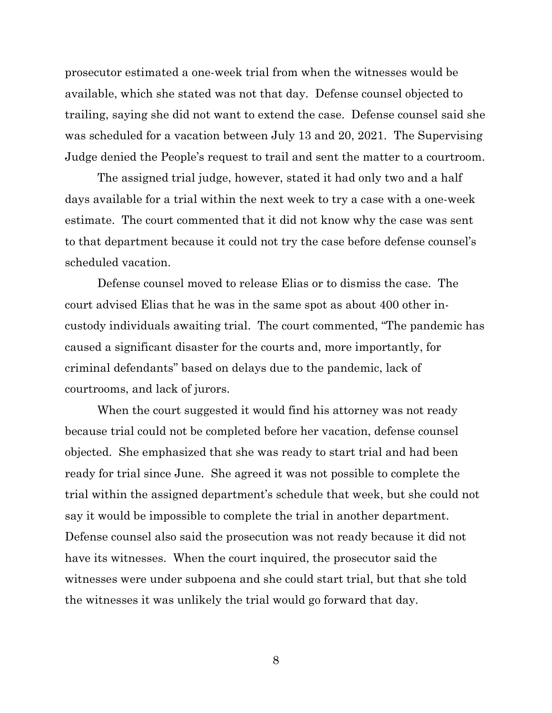prosecutor estimated a one-week trial from when the witnesses would be available, which she stated was not that day. Defense counsel objected to trailing, saying she did not want to extend the case. Defense counsel said she was scheduled for a vacation between July 13 and 20, 2021. The Supervising Judge denied the People's request to trail and sent the matter to a courtroom.

The assigned trial judge, however, stated it had only two and a half days available for a trial within the next week to try a case with a one-week estimate. The court commented that it did not know why the case was sent to that department because it could not try the case before defense counsel's scheduled vacation.

Defense counsel moved to release Elias or to dismiss the case. The court advised Elias that he was in the same spot as about 400 other incustody individuals awaiting trial. The court commented, "The pandemic has caused a significant disaster for the courts and, more importantly, for criminal defendants" based on delays due to the pandemic, lack of courtrooms, and lack of jurors.

When the court suggested it would find his attorney was not ready because trial could not be completed before her vacation, defense counsel objected. She emphasized that she was ready to start trial and had been ready for trial since June. She agreed it was not possible to complete the trial within the assigned department's schedule that week, but she could not say it would be impossible to complete the trial in another department. Defense counsel also said the prosecution was not ready because it did not have its witnesses. When the court inquired, the prosecutor said the witnesses were under subpoena and she could start trial, but that she told the witnesses it was unlikely the trial would go forward that day.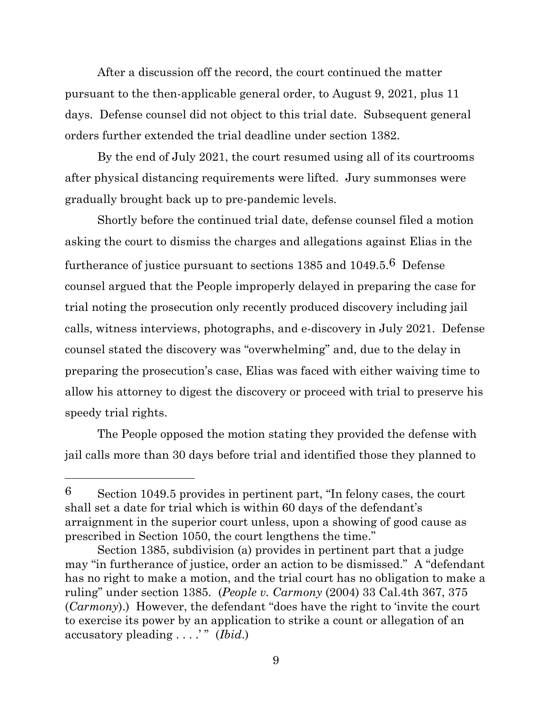After a discussion off the record, the court continued the matter pursuant to the then-applicable general order, to August 9, 2021, plus 11 days. Defense counsel did not object to this trial date. Subsequent general orders further extended the trial deadline under section 1382.

By the end of July 2021, the court resumed using all of its courtrooms after physical distancing requirements were lifted. Jury summonses were gradually brought back up to pre-pandemic levels.

Shortly before the continued trial date, defense counsel filed a motion asking the court to dismiss the charges and allegations against Elias in the furtherance of justice pursuant to sections 1385 and 1049.5.6 Defense counsel argued that the People improperly delayed in preparing the case for trial noting the prosecution only recently produced discovery including jail calls, witness interviews, photographs, and e-discovery in July 2021. Defense counsel stated the discovery was "overwhelming" and, due to the delay in preparing the prosecution's case, Elias was faced with either waiving time to allow his attorney to digest the discovery or proceed with trial to preserve his speedy trial rights.

The People opposed the motion stating they provided the defense with jail calls more than 30 days before trial and identified those they planned to

<sup>6</sup> Section 1049.5 provides in pertinent part, "In felony cases, the court shall set a date for trial which is within 60 days of the defendant's arraignment in the superior court unless, upon a showing of good cause as prescribed in Section 1050, the court lengthens the time."

Section 1385, subdivision (a) provides in pertinent part that a judge may "in furtherance of justice, order an action to be dismissed." A "defendant has no right to make a motion, and the trial court has no obligation to make a ruling" under section 1385. (*People v. Carmony* (2004) 33 Cal.4th 367, 375 (*Carmony*).) However, the defendant "does have the right to 'invite the court to exercise its power by an application to strike a count or allegation of an accusatory pleading . . . .' " (*Ibid*.)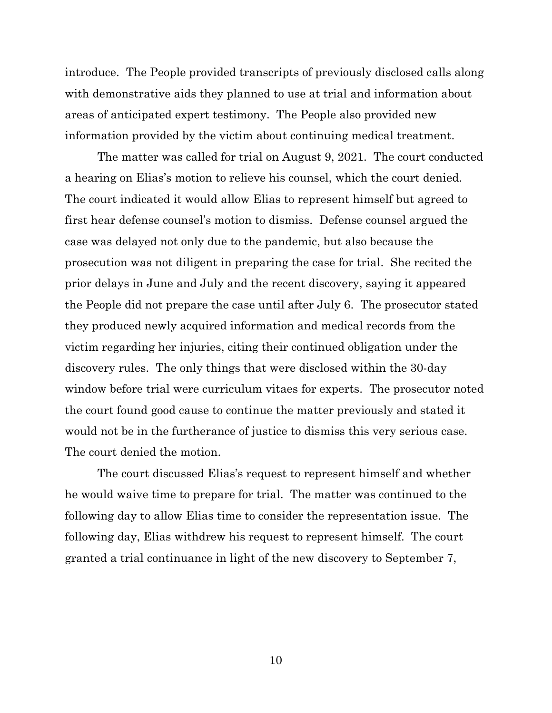introduce. The People provided transcripts of previously disclosed calls along with demonstrative aids they planned to use at trial and information about areas of anticipated expert testimony. The People also provided new information provided by the victim about continuing medical treatment.

The matter was called for trial on August 9, 2021. The court conducted a hearing on Elias's motion to relieve his counsel, which the court denied. The court indicated it would allow Elias to represent himself but agreed to first hear defense counsel's motion to dismiss. Defense counsel argued the case was delayed not only due to the pandemic, but also because the prosecution was not diligent in preparing the case for trial. She recited the prior delays in June and July and the recent discovery, saying it appeared the People did not prepare the case until after July 6. The prosecutor stated they produced newly acquired information and medical records from the victim regarding her injuries, citing their continued obligation under the discovery rules. The only things that were disclosed within the 30-day window before trial were curriculum vitaes for experts. The prosecutor noted the court found good cause to continue the matter previously and stated it would not be in the furtherance of justice to dismiss this very serious case. The court denied the motion.

The court discussed Elias's request to represent himself and whether he would waive time to prepare for trial. The matter was continued to the following day to allow Elias time to consider the representation issue. The following day, Elias withdrew his request to represent himself. The court granted a trial continuance in light of the new discovery to September 7,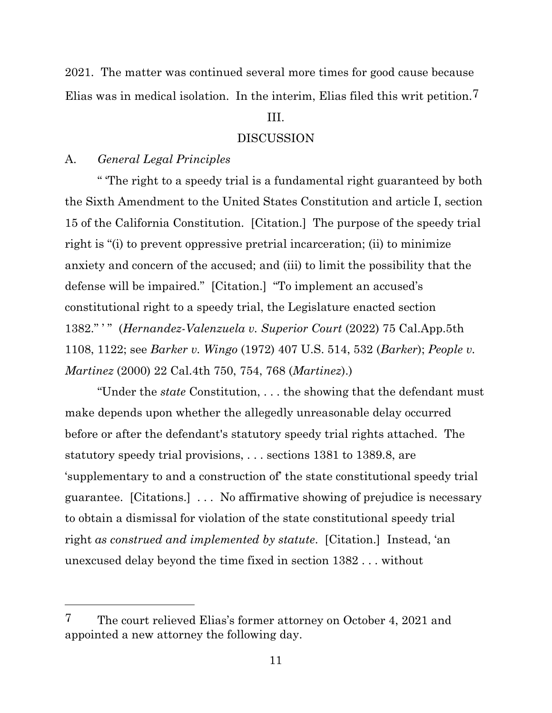2021. The matter was continued several more times for good cause because Elias was in medical isolation. In the interim, Elias filed this writ petition.7

# III.

### DISCUSSION

## A. *General Legal Principles*

" 'The right to a speedy trial is a fundamental right guaranteed by both the Sixth Amendment to the United States Constitution and article I, section 15 of the California Constitution. [Citation.] The purpose of the speedy trial right is "(i) to prevent oppressive pretrial incarceration; (ii) to minimize anxiety and concern of the accused; and (iii) to limit the possibility that the defense will be impaired." [Citation.] "To implement an accused's constitutional right to a speedy trial, the Legislature enacted section 1382." ' " (*Hernandez-Valenzuela v. Superior Court* (2022) 75 Cal.App.5th 1108, 1122; see *Barker v. Wingo* (1972) 407 U.S. 514, 532 (*Barker*); *People v. Martinez* (2000) 22 Cal.4th 750, 754, 768 (*Martinez*).)

"Under the *state* Constitution, . . . the showing that the defendant must make depends upon whether the allegedly unreasonable delay occurred before or after the defendant's statutory speedy trial rights attached. The statutory speedy trial provisions, . . . sections 1381 to 1389.8, are 'supplementary to and a construction of' the state constitutional speedy trial guarantee. [Citations.] . . . No affirmative showing of prejudice is necessary to obtain a dismissal for violation of the state constitutional speedy trial right *as construed and implemented by statute*. [Citation.] Instead, 'an unexcused delay beyond the time fixed in section 1382 . . . without

<sup>7</sup> The court relieved Elias's former attorney on October 4, 2021 and appointed a new attorney the following day.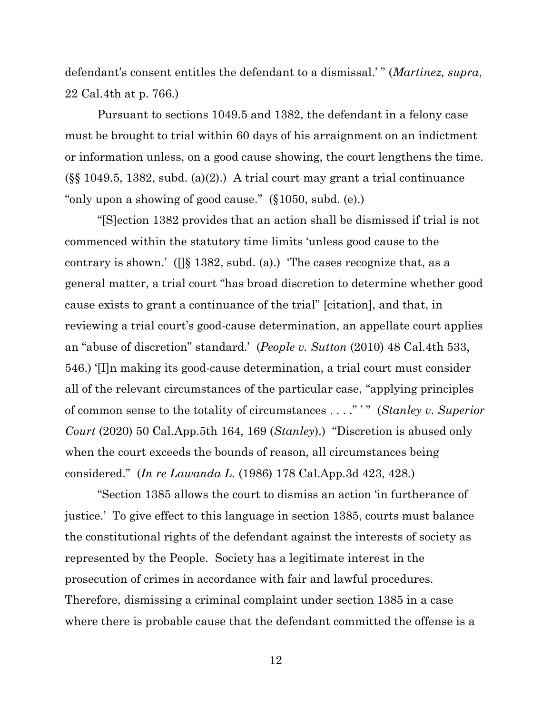defendant's consent entitles the defendant to a dismissal.' " (*Martinez, supra*, 22 Cal.4th at p. 766.)

Pursuant to sections 1049.5 and 1382, the defendant in a felony case must be brought to trial within 60 days of his arraignment on an indictment or information unless, on a good cause showing, the court lengthens the time.  $(\S\$  1049.5, 1382, subd. (a)(2).) A trial court may grant a trial continuance "only upon a showing of good cause." (§1050, subd. (e).)

"[S]ection 1382 provides that an action shall be dismissed if trial is not commenced within the statutory time limits 'unless good cause to the contrary is shown.' ( $\iiint$  1382, subd. (a).) The cases recognize that, as a general matter, a trial court "has broad discretion to determine whether good cause exists to grant a continuance of the trial" [citation], and that, in reviewing a trial court's good-cause determination, an appellate court applies an "abuse of discretion" standard.' (*People v. Sutton* (2010) 48 Cal.4th 533, 546.) '[I]n making its good-cause determination, a trial court must consider all of the relevant circumstances of the particular case, "applying principles of common sense to the totality of circumstances . . . ." ' " (*Stanley v. Superior Court* (2020) 50 Cal.App.5th 164, 169 (*Stanley*).) "Discretion is abused only when the court exceeds the bounds of reason, all circumstances being considered." (*In re Lawanda L.* (1986) 178 Cal.App.3d 423, 428.)

"Section 1385 allows the court to dismiss an action 'in furtherance of justice.' To give effect to this language in section 1385, courts must balance the constitutional rights of the defendant against the interests of society as represented by the People. Society has a legitimate interest in the prosecution of crimes in accordance with fair and lawful procedures. Therefore, dismissing a criminal complaint under section 1385 in a case where there is probable cause that the defendant committed the offense is a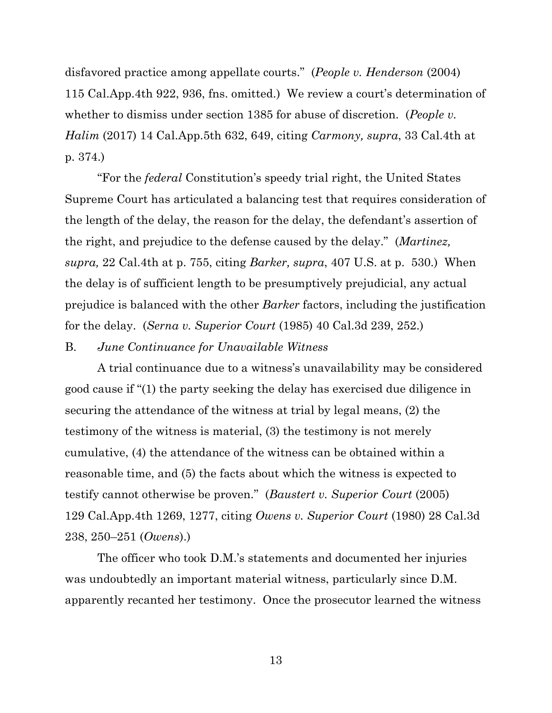disfavored practice among appellate courts." (*People v. Henderson* (2004) 115 Cal.App.4th 922, 936, fns. omitted.) We review a court's determination of whether to dismiss under section 1385 for abuse of discretion. (*People v. Halim* (2017) 14 Cal.App.5th 632, 649, citing *Carmony, supra*, 33 Cal.4th at p. 374.)

"For the *federal* Constitution's speedy trial right, the United States Supreme Court has articulated a balancing test that requires consideration of the length of the delay, the reason for the delay, the defendant's assertion of the right, and prejudice to the defense caused by the delay." (*Martinez, supra,* 22 Cal.4th at p. 755, citing *Barker, supra*, 407 U.S. at p. 530.) When the delay is of sufficient length to be presumptively prejudicial, any actual prejudice is balanced with the other *Barker* factors, including the justification for the delay. (*Serna v. Superior Court* (1985) 40 Cal.3d 239, 252.)

### B. *June Continuance for Unavailable Witness*

A trial continuance due to a witness's unavailability may be considered good cause if "(1) the party seeking the delay has exercised due diligence in securing the attendance of the witness at trial by legal means, (2) the testimony of the witness is material, (3) the testimony is not merely cumulative, (4) the attendance of the witness can be obtained within a reasonable time, and (5) the facts about which the witness is expected to testify cannot otherwise be proven." (*Baustert v. Superior Court* (2005) 129 Cal.App.4th 1269, 1277, citing *Owens v. Superior Court* (1980) 28 Cal.3d 238, 250–251 (*Owens*).)

The officer who took D.M.'s statements and documented her injuries was undoubtedly an important material witness, particularly since D.M. apparently recanted her testimony. Once the prosecutor learned the witness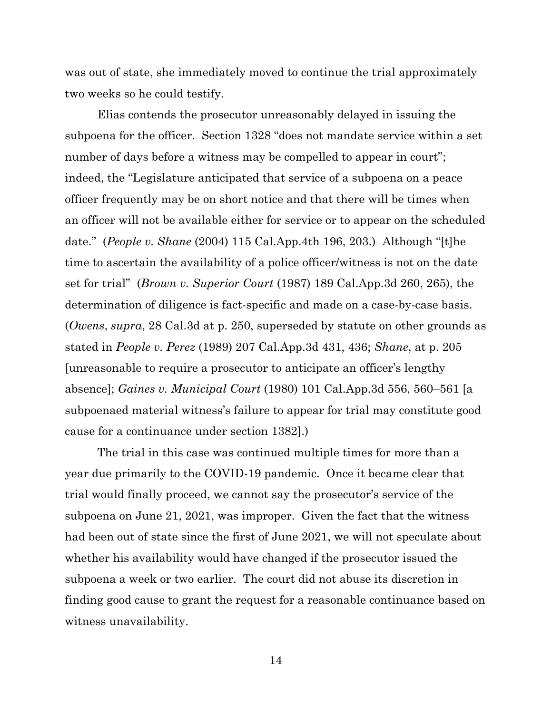was out of state, she immediately moved to continue the trial approximately two weeks so he could testify.

Elias contends the prosecutor unreasonably delayed in issuing the subpoena for the officer. Section 1328 "does not mandate service within a set number of days before a witness may be compelled to appear in court"; indeed, the "Legislature anticipated that service of a subpoena on a peace officer frequently may be on short notice and that there will be times when an officer will not be available either for service or to appear on the scheduled date." (*People v. Shane* (2004) 115 Cal.App.4th 196, 203.) Although "[t]he time to ascertain the availability of a police officer/witness is not on the date set for trial" (*Brown v. Superior Court* (1987) 189 Cal.App.3d 260, 265), the determination of diligence is fact-specific and made on a case-by-case basis. (*Owens*, *supra*, 28 Cal.3d at p. 250, superseded by statute on other grounds as stated in *People v. Perez* (1989) 207 Cal.App.3d 431, 436; *Shane*, at p. 205 [unreasonable to require a prosecutor to anticipate an officer's lengthy absence]; *Gaines v. Municipal Court* (1980) 101 Cal.App.3d 556, 560–561 [a subpoenaed material witness's failure to appear for trial may constitute good cause for a continuance under section 1382].)

The trial in this case was continued multiple times for more than a year due primarily to the COVID-19 pandemic. Once it became clear that trial would finally proceed, we cannot say the prosecutor's service of the subpoena on June 21, 2021, was improper. Given the fact that the witness had been out of state since the first of June 2021, we will not speculate about whether his availability would have changed if the prosecutor issued the subpoena a week or two earlier. The court did not abuse its discretion in finding good cause to grant the request for a reasonable continuance based on witness unavailability.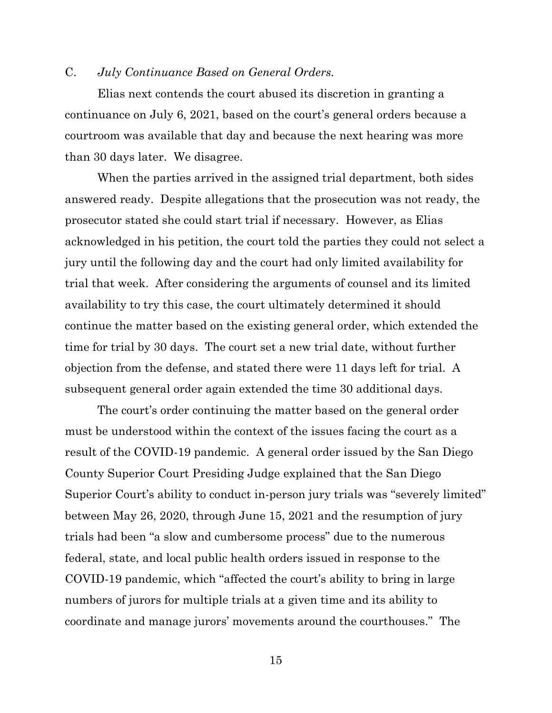### C. *July Continuance Based on General Orders.*

Elias next contends the court abused its discretion in granting a continuance on July 6, 2021, based on the court's general orders because a courtroom was available that day and because the next hearing was more than 30 days later. We disagree.

When the parties arrived in the assigned trial department, both sides answered ready. Despite allegations that the prosecution was not ready, the prosecutor stated she could start trial if necessary. However, as Elias acknowledged in his petition, the court told the parties they could not select a jury until the following day and the court had only limited availability for trial that week. After considering the arguments of counsel and its limited availability to try this case, the court ultimately determined it should continue the matter based on the existing general order, which extended the time for trial by 30 days. The court set a new trial date, without further objection from the defense, and stated there were 11 days left for trial. A subsequent general order again extended the time 30 additional days.

The court's order continuing the matter based on the general order must be understood within the context of the issues facing the court as a result of the COVID-19 pandemic. A general order issued by the San Diego County Superior Court Presiding Judge explained that the San Diego Superior Court's ability to conduct in-person jury trials was "severely limited" between May 26, 2020, through June 15, 2021 and the resumption of jury trials had been "a slow and cumbersome process" due to the numerous federal, state, and local public health orders issued in response to the COVID-19 pandemic, which "affected the court's ability to bring in large numbers of jurors for multiple trials at a given time and its ability to coordinate and manage jurors' movements around the courthouses." The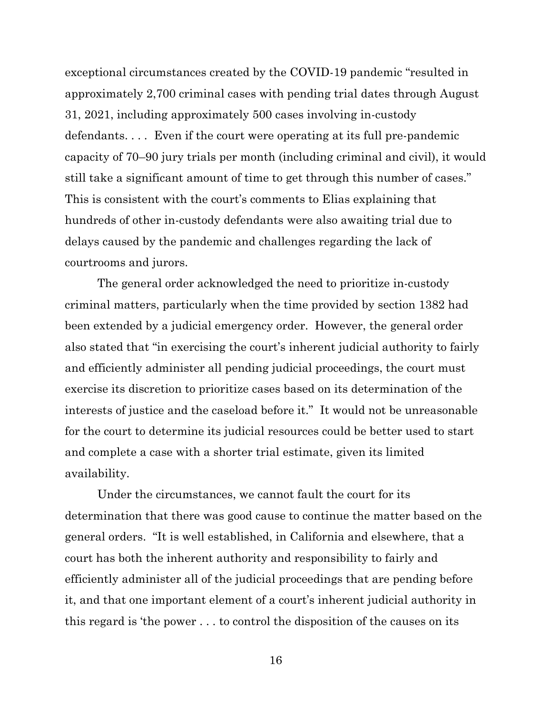exceptional circumstances created by the COVID-19 pandemic "resulted in approximately 2,700 criminal cases with pending trial dates through August 31, 2021, including approximately 500 cases involving in-custody defendants. . . . Even if the court were operating at its full pre-pandemic capacity of 70–90 jury trials per month (including criminal and civil), it would still take a significant amount of time to get through this number of cases." This is consistent with the court's comments to Elias explaining that hundreds of other in-custody defendants were also awaiting trial due to delays caused by the pandemic and challenges regarding the lack of courtrooms and jurors.

The general order acknowledged the need to prioritize in-custody criminal matters, particularly when the time provided by section 1382 had been extended by a judicial emergency order. However, the general order also stated that "in exercising the court's inherent judicial authority to fairly and efficiently administer all pending judicial proceedings, the court must exercise its discretion to prioritize cases based on its determination of the interests of justice and the caseload before it." It would not be unreasonable for the court to determine its judicial resources could be better used to start and complete a case with a shorter trial estimate, given its limited availability.

Under the circumstances, we cannot fault the court for its determination that there was good cause to continue the matter based on the general orders. "It is well established, in California and elsewhere, that a court has both the inherent authority and responsibility to fairly and efficiently administer all of the judicial proceedings that are pending before it, and that one important element of a court's inherent judicial authority in this regard is 'the power . . . to control the disposition of the causes on its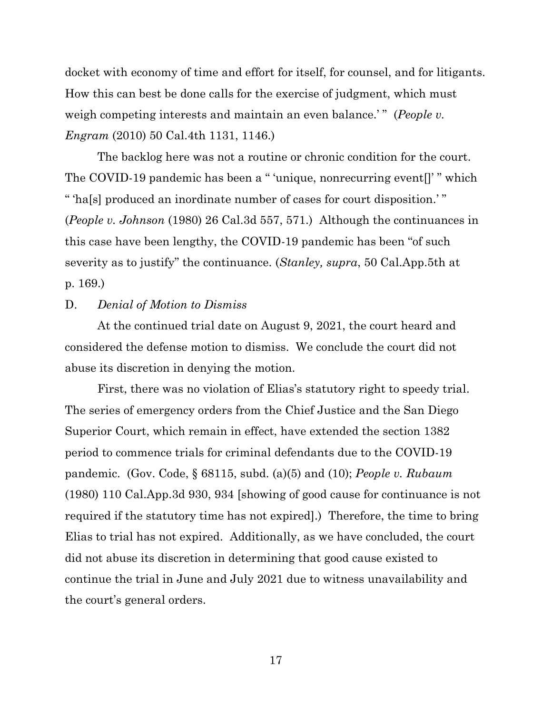docket with economy of time and effort for itself, for counsel, and for litigants. How this can best be done calls for the exercise of judgment, which must weigh competing interests and maintain an even balance.'" (*People v. Engram* (2010) 50 Cal.4th 1131, 1146.)

The backlog here was not a routine or chronic condition for the court. The COVID-19 pandemic has been a " 'unique, nonrecurring event[]' " which " 'ha[s] produced an inordinate number of cases for court disposition.' " (*People v. Johnson* (1980) 26 Cal.3d 557, 571.) Although the continuances in this case have been lengthy, the COVID-19 pandemic has been "of such severity as to justify" the continuance. (*Stanley, supra*, 50 Cal.App.5th at p. 169.)

## D. *Denial of Motion to Dismiss*

At the continued trial date on August 9, 2021, the court heard and considered the defense motion to dismiss. We conclude the court did not abuse its discretion in denying the motion.

First, there was no violation of Elias's statutory right to speedy trial. The series of emergency orders from the Chief Justice and the San Diego Superior Court, which remain in effect, have extended the section 1382 period to commence trials for criminal defendants due to the COVID-19 pandemic. (Gov. Code, § 68115, subd. (a)(5) and (10); *People v. Rubaum*  (1980) 110 Cal.App.3d 930, 934 [showing of good cause for continuance is not required if the statutory time has not expired].) Therefore, the time to bring Elias to trial has not expired. Additionally, as we have concluded, the court did not abuse its discretion in determining that good cause existed to continue the trial in June and July 2021 due to witness unavailability and the court's general orders.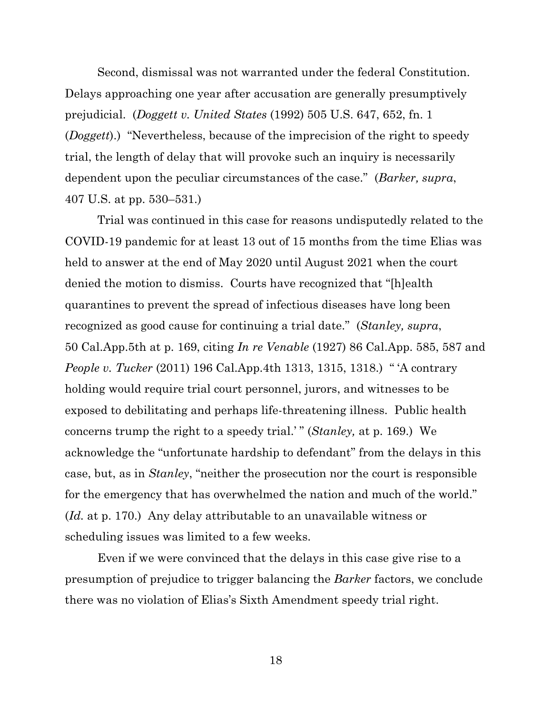Second, dismissal was not warranted under the federal Constitution. Delays approaching one year after accusation are generally presumptively prejudicial. (*Doggett v. United States* (1992) 505 U.S. 647, 652, fn. 1 (*Doggett*).) "Nevertheless, because of the imprecision of the right to speedy trial, the length of delay that will provoke such an inquiry is necessarily dependent upon the peculiar circumstances of the case." (*Barker, supra*, 407 U.S. at pp. 530–531.)

Trial was continued in this case for reasons undisputedly related to the COVID-19 pandemic for at least 13 out of 15 months from the time Elias was held to answer at the end of May 2020 until August 2021 when the court denied the motion to dismiss. Courts have recognized that "[h]ealth quarantines to prevent the spread of infectious diseases have long been recognized as good cause for continuing a trial date." (*Stanley, supra*, 50 Cal.App.5th at p. 169, citing *In re Venable* (1927) 86 Cal.App. 585, 587 and *People v. Tucker* (2011) 196 Cal.App.4th 1313, 1315, 1318.) " 'A contrary holding would require trial court personnel, jurors, and witnesses to be exposed to debilitating and perhaps life-threatening illness. Public health concerns trump the right to a speedy trial.' " (*Stanley,* at p. 169.) We acknowledge the "unfortunate hardship to defendant" from the delays in this case, but, as in *Stanley*, "neither the prosecution nor the court is responsible for the emergency that has overwhelmed the nation and much of the world." (*Id.* at p. 170.) Any delay attributable to an unavailable witness or scheduling issues was limited to a few weeks.

Even if we were convinced that the delays in this case give rise to a presumption of prejudice to trigger balancing the *Barker* factors, we conclude there was no violation of Elias's Sixth Amendment speedy trial right.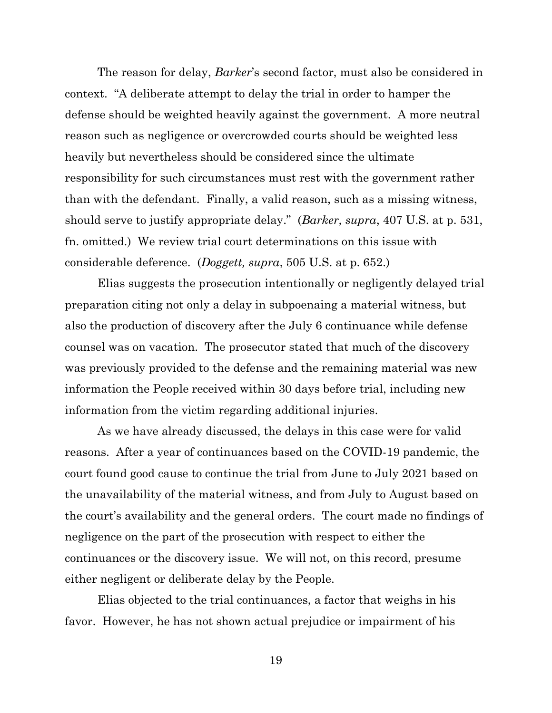The reason for delay, *Barker*'s second factor, must also be considered in context. "A deliberate attempt to delay the trial in order to hamper the defense should be weighted heavily against the government. A more neutral reason such as negligence or overcrowded courts should be weighted less heavily but nevertheless should be considered since the ultimate responsibility for such circumstances must rest with the government rather than with the defendant. Finally, a valid reason, such as a missing witness, should serve to justify appropriate delay." (*Barker, supra*, 407 U.S. at p. 531, fn. omitted.) We review trial court determinations on this issue with considerable deference. (*Doggett, supra*, 505 U.S. at p. 652.)

Elias suggests the prosecution intentionally or negligently delayed trial preparation citing not only a delay in subpoenaing a material witness, but also the production of discovery after the July 6 continuance while defense counsel was on vacation. The prosecutor stated that much of the discovery was previously provided to the defense and the remaining material was new information the People received within 30 days before trial, including new information from the victim regarding additional injuries.

As we have already discussed, the delays in this case were for valid reasons. After a year of continuances based on the COVID-19 pandemic, the court found good cause to continue the trial from June to July 2021 based on the unavailability of the material witness, and from July to August based on the court's availability and the general orders. The court made no findings of negligence on the part of the prosecution with respect to either the continuances or the discovery issue. We will not, on this record, presume either negligent or deliberate delay by the People.

Elias objected to the trial continuances, a factor that weighs in his favor. However, he has not shown actual prejudice or impairment of his